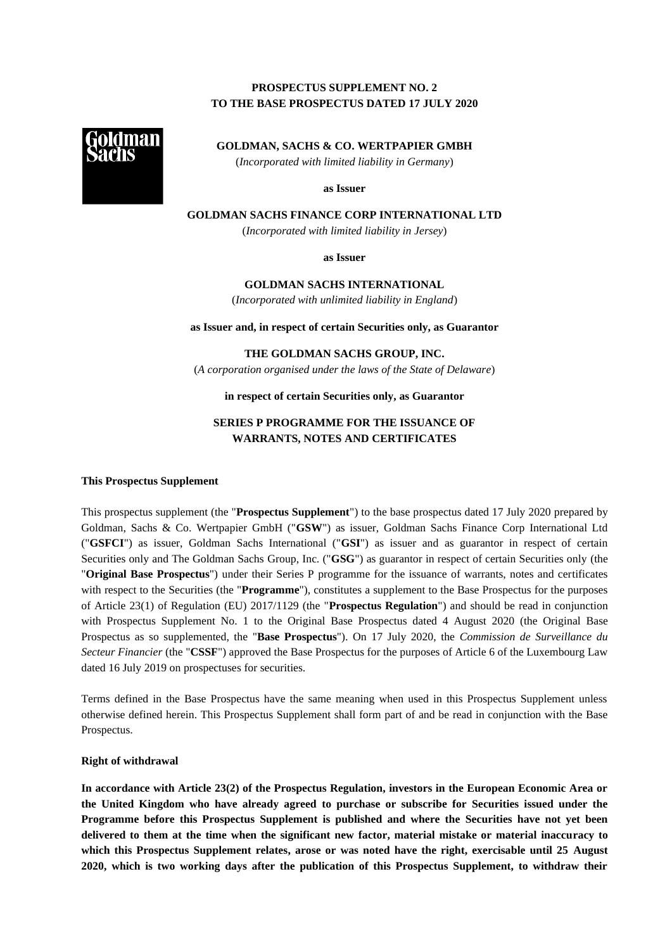## **PROSPECTUS SUPPLEMENT NO. 2 TO THE BASE PROSPECTUS DATED 17 JULY 2020**



**GOLDMAN, SACHS & CO. WERTPAPIER GMBH** (*Incorporated with limited liability in Germany*)

**as Issuer**

**GOLDMAN SACHS FINANCE CORP INTERNATIONAL LTD**

(*Incorporated with limited liability in Jersey*)

**as Issuer**

**GOLDMAN SACHS INTERNATIONAL** (*Incorporated with unlimited liability in England*)

**as Issuer and, in respect of certain Securities only, as Guarantor**

**THE GOLDMAN SACHS GROUP, INC.**

(*A corporation organised under the laws of the State of Delaware*)

**in respect of certain Securities only, as Guarantor**

# **SERIES P PROGRAMME FOR THE ISSUANCE OF WARRANTS, NOTES AND CERTIFICATES**

## **This Prospectus Supplement**

This prospectus supplement (the "**Prospectus Supplement**") to the base prospectus dated 17 July 2020 prepared by Goldman, Sachs & Co. Wertpapier GmbH ("**GSW**") as issuer, Goldman Sachs Finance Corp International Ltd ("**GSFCI**") as issuer, Goldman Sachs International ("**GSI**") as issuer and as guarantor in respect of certain Securities only and The Goldman Sachs Group, Inc. ("**GSG**") as guarantor in respect of certain Securities only (the "**Original Base Prospectus**") under their Series P programme for the issuance of warrants, notes and certificates with respect to the Securities (the "**Programme**"), constitutes a supplement to the Base Prospectus for the purposes of Article 23(1) of Regulation (EU) 2017/1129 (the "**Prospectus Regulation**") and should be read in conjunction with Prospectus Supplement No. 1 to the Original Base Prospectus dated 4 August 2020 (the Original Base Prospectus as so supplemented, the "**Base Prospectus**"). On 17 July 2020, the *Commission de Surveillance du Secteur Financier* (the "**CSSF**") approved the Base Prospectus for the purposes of Article 6 of the Luxembourg Law dated 16 July 2019 on prospectuses for securities.

Terms defined in the Base Prospectus have the same meaning when used in this Prospectus Supplement unless otherwise defined herein. This Prospectus Supplement shall form part of and be read in conjunction with the Base Prospectus.

## **Right of withdrawal**

**In accordance with Article 23(2) of the Prospectus Regulation, investors in the European Economic Area or the United Kingdom who have already agreed to purchase or subscribe for Securities issued under the Programme before this Prospectus Supplement is published and where the Securities have not yet been delivered to them at the time when the significant new factor, material mistake or material inaccuracy to which this Prospectus Supplement relates, arose or was noted have the right, exercisable until 25 August 2020, which is two working days after the publication of this Prospectus Supplement, to withdraw their**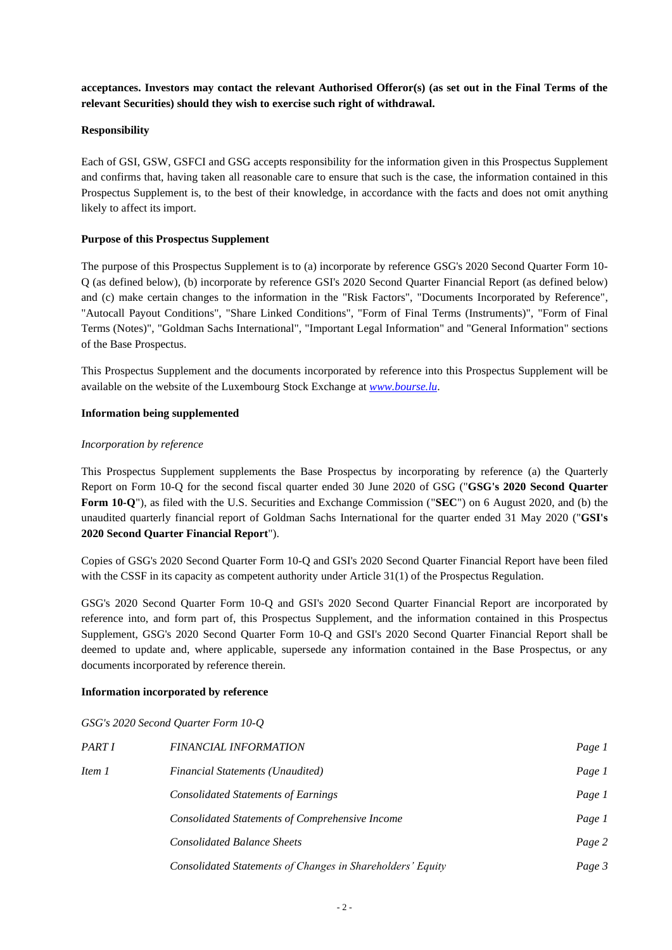**acceptances. Investors may contact the relevant Authorised Offeror(s) (as set out in the Final Terms of the relevant Securities) should they wish to exercise such right of withdrawal.**

## **Responsibility**

Each of GSI, GSW, GSFCI and GSG accepts responsibility for the information given in this Prospectus Supplement and confirms that, having taken all reasonable care to ensure that such is the case, the information contained in this Prospectus Supplement is, to the best of their knowledge, in accordance with the facts and does not omit anything likely to affect its import.

## **Purpose of this Prospectus Supplement**

The purpose of this Prospectus Supplement is to (a) incorporate by reference GSG's 2020 Second Quarter Form 10- Q (as defined below), (b) incorporate by reference GSI's 2020 Second Quarter Financial Report (as defined below) and (c) make certain changes to the information in the "Risk Factors", "Documents Incorporated by Reference", "Autocall Payout Conditions", "Share Linked Conditions", "Form of Final Terms (Instruments)", "Form of Final Terms (Notes)", "Goldman Sachs International", "Important Legal Information" and "General Information" sections of the Base Prospectus.

This Prospectus Supplement and the documents incorporated by reference into this Prospectus Supplement will be available on the website of the Luxembourg Stock Exchange at *[www.bourse.lu](http://www.bourse.lu/)*.

## **Information being supplemented**

## *Incorporation by reference*

This Prospectus Supplement supplements the Base Prospectus by incorporating by reference (a) the Quarterly Report on Form 10-Q for the second fiscal quarter ended 30 June 2020 of GSG ("**GSG's 2020 Second Quarter Form 10-Q**"), as filed with the U.S. Securities and Exchange Commission ("**SEC**") on 6 August 2020, and (b) the unaudited quarterly financial report of Goldman Sachs International for the quarter ended 31 May 2020 ("**GSI's 2020 Second Quarter Financial Report**").

Copies of GSG's 2020 Second Quarter Form 10-Q and GSI's 2020 Second Quarter Financial Report have been filed with the CSSF in its capacity as competent authority under Article 31(1) of the Prospectus Regulation.

GSG's 2020 Second Quarter Form 10-Q and GSI's 2020 Second Quarter Financial Report are incorporated by reference into, and form part of, this Prospectus Supplement, and the information contained in this Prospectus Supplement, GSG's 2020 Second Quarter Form 10-Q and GSI's 2020 Second Quarter Financial Report shall be deemed to update and, where applicable, supersede any information contained in the Base Prospectus, or any documents incorporated by reference therein.

## **Information incorporated by reference**

*GSG's 2020 Second Quarter Form 10-Q*

| PART I | <b>FINANCIAL INFORMATION</b>                               | Page 1 |
|--------|------------------------------------------------------------|--------|
| Item 1 | <b>Financial Statements (Unaudited)</b>                    | Page 1 |
|        | Consolidated Statements of Earnings                        | Page 1 |
|        | Consolidated Statements of Comprehensive Income            | Page 1 |
|        | <b>Consolidated Balance Sheets</b>                         | Page 2 |
|        | Consolidated Statements of Changes in Shareholders' Equity | Page 3 |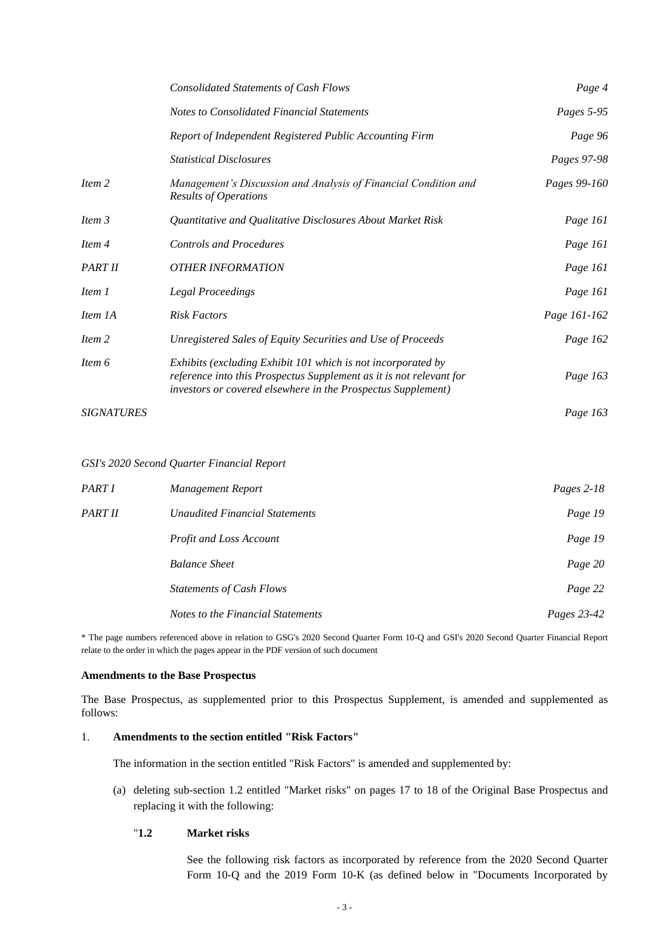|                   | <b>Consolidated Statements of Cash Flows</b>                                                                                                                                                        | Page 4       |
|-------------------|-----------------------------------------------------------------------------------------------------------------------------------------------------------------------------------------------------|--------------|
|                   | <b>Notes to Consolidated Financial Statements</b>                                                                                                                                                   | Pages 5-95   |
|                   | Report of Independent Registered Public Accounting Firm                                                                                                                                             | Page 96      |
|                   | <b>Statistical Disclosures</b>                                                                                                                                                                      | Pages 97-98  |
| Item 2            | Management's Discussion and Analysis of Financial Condition and<br><b>Results of Operations</b>                                                                                                     | Pages 99-160 |
| Item 3            | Quantitative and Qualitative Disclosures About Market Risk                                                                                                                                          | Page 161     |
| Item 4            | <b>Controls and Procedures</b>                                                                                                                                                                      | Page 161     |
| PART II           | <b>OTHER INFORMATION</b>                                                                                                                                                                            | Page 161     |
| Item 1            | <b>Legal Proceedings</b>                                                                                                                                                                            | Page 161     |
| Item 1A           | <b>Risk Factors</b>                                                                                                                                                                                 | Page 161-162 |
| Item 2            | Unregistered Sales of Equity Securities and Use of Proceeds                                                                                                                                         | Page 162     |
| Item 6            | Exhibits (excluding Exhibit 101 which is not incorporated by<br>reference into this Prospectus Supplement as it is not relevant for<br>investors or covered elsewhere in the Prospectus Supplement) | Page 163     |
| <b>SIGNATURES</b> |                                                                                                                                                                                                     | Page 163     |

*GSI's 2020 Second Quarter Financial Report*

| PART I  | Management Report                     | Pages $2-18$ |
|---------|---------------------------------------|--------------|
| PART II | <b>Unaudited Financial Statements</b> | Page 19      |
|         | <b>Profit and Loss Account</b>        | Page 19      |
|         | <b>Balance Sheet</b>                  | Page 20      |
|         | <b>Statements of Cash Flows</b>       | Page 22      |
|         | Notes to the Financial Statements     | Pages 23-42  |

\* The page numbers referenced above in relation to GSG's 2020 Second Quarter Form 10-Q and GSI's 2020 Second Quarter Financial Report relate to the order in which the pages appear in the PDF version of such document

## **Amendments to the Base Prospectus**

The Base Prospectus, as supplemented prior to this Prospectus Supplement, is amended and supplemented as follows:

## 1. **Amendments to the section entitled "Risk Factors"**

The information in the section entitled "Risk Factors" is amended and supplemented by:

(a) deleting sub-section 1.2 entitled "Market risks" on pages 17 to 18 of the Original Base Prospectus and replacing it with the following:

## "**1.2 Market risks**

See the following risk factors as incorporated by reference from the 2020 Second Quarter Form 10-Q and the 2019 Form 10-K (as defined below in "Documents Incorporated by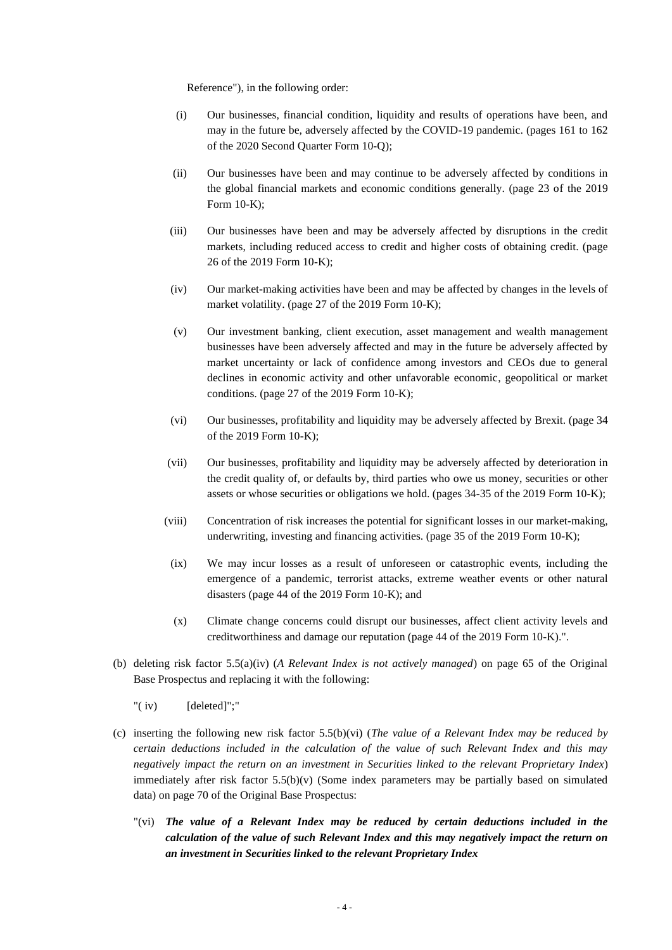Reference"), in the following order:

- (i) Our businesses, financial condition, liquidity and results of operations have been, and may in the future be, adversely affected by the COVID-19 pandemic. (pages 161 to 162 of the 2020 Second Quarter Form 10-Q);
- (ii) Our businesses have been and may continue to be adversely affected by conditions in the global financial markets and economic conditions generally. (page 23 of the 2019 Form 10-K);
- (iii) Our businesses have been and may be adversely affected by disruptions in the credit markets, including reduced access to credit and higher costs of obtaining credit. (page 26 of the 2019 Form 10-K);
- (iv) Our market-making activities have been and may be affected by changes in the levels of market volatility. (page 27 of the 2019 Form 10-K);
- (v) Our investment banking, client execution, asset management and wealth management businesses have been adversely affected and may in the future be adversely affected by market uncertainty or lack of confidence among investors and CEOs due to general declines in economic activity and other unfavorable economic, geopolitical or market conditions. (page 27 of the 2019 Form 10-K);
- (vi) Our businesses, profitability and liquidity may be adversely affected by Brexit. (page 34 of the 2019 Form 10-K);
- (vii) Our businesses, profitability and liquidity may be adversely affected by deterioration in the credit quality of, or defaults by, third parties who owe us money, securities or other assets or whose securities or obligations we hold. (pages 34-35 of the 2019 Form 10-K);
- (viii) Concentration of risk increases the potential for significant losses in our market-making, underwriting, investing and financing activities. (page 35 of the 2019 Form 10-K);
	- (ix) We may incur losses as a result of unforeseen or catastrophic events, including the emergence of a pandemic, terrorist attacks, extreme weather events or other natural disasters (page 44 of the 2019 Form 10-K); and
	- (x) Climate change concerns could disrupt our businesses, affect client activity levels and creditworthiness and damage our reputation (page 44 of the 2019 Form 10-K).".
- (b) deleting risk factor 5.5(a)(iv) (*A Relevant Index is not actively managed*) on page 65 of the Original Base Prospectus and replacing it with the following:
	- "( iv) [deleted]";"
- (c) inserting the following new risk factor 5.5(b)(vi) (*The value of a Relevant Index may be reduced by certain deductions included in the calculation of the value of such Relevant Index and this may negatively impact the return on an investment in Securities linked to the relevant Proprietary Index*) immediately after risk factor 5.5(b)(v) (Some index parameters may be partially based on simulated data) on page 70 of the Original Base Prospectus:
	- "(vi) *The value of a Relevant Index may be reduced by certain deductions included in the calculation of the value of such Relevant Index and this may negatively impact the return on an investment in Securities linked to the relevant Proprietary Index*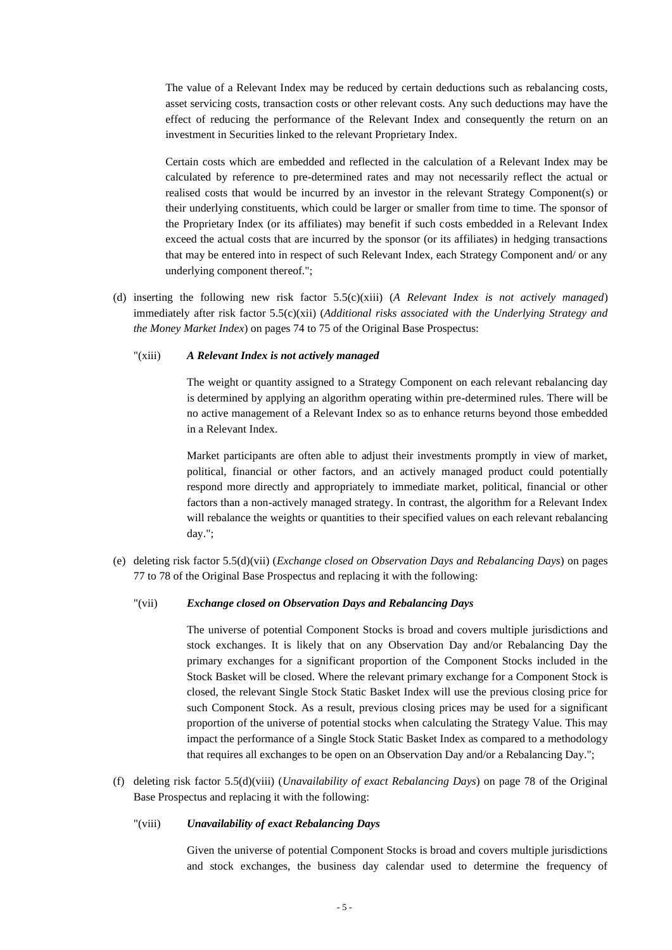The value of a Relevant Index may be reduced by certain deductions such as rebalancing costs, asset servicing costs, transaction costs or other relevant costs. Any such deductions may have the effect of reducing the performance of the Relevant Index and consequently the return on an investment in Securities linked to the relevant Proprietary Index.

Certain costs which are embedded and reflected in the calculation of a Relevant Index may be calculated by reference to pre-determined rates and may not necessarily reflect the actual or realised costs that would be incurred by an investor in the relevant Strategy Component(s) or their underlying constituents, which could be larger or smaller from time to time. The sponsor of the Proprietary Index (or its affiliates) may benefit if such costs embedded in a Relevant Index exceed the actual costs that are incurred by the sponsor (or its affiliates) in hedging transactions that may be entered into in respect of such Relevant Index, each Strategy Component and/ or any underlying component thereof.";

(d) inserting the following new risk factor 5.5(c)(xiii) (*A Relevant Index is not actively managed*) immediately after risk factor 5.5(c)(xii) (*Additional risks associated with the Underlying Strategy and the Money Market Index*) on pages 74 to 75 of the Original Base Prospectus:

#### "(xiii) *A Relevant Index is not actively managed*

The weight or quantity assigned to a Strategy Component on each relevant rebalancing day is determined by applying an algorithm operating within pre-determined rules. There will be no active management of a Relevant Index so as to enhance returns beyond those embedded in a Relevant Index.

Market participants are often able to adjust their investments promptly in view of market, political, financial or other factors, and an actively managed product could potentially respond more directly and appropriately to immediate market, political, financial or other factors than a non-actively managed strategy. In contrast, the algorithm for a Relevant Index will rebalance the weights or quantities to their specified values on each relevant rebalancing day.";

(e) deleting risk factor 5.5(d)(vii) (*Exchange closed on Observation Days and Rebalancing Days*) on pages 77 to 78 of the Original Base Prospectus and replacing it with the following:

#### "(vii) *Exchange closed on Observation Days and Rebalancing Days*

The universe of potential Component Stocks is broad and covers multiple jurisdictions and stock exchanges. It is likely that on any Observation Day and/or Rebalancing Day the primary exchanges for a significant proportion of the Component Stocks included in the Stock Basket will be closed. Where the relevant primary exchange for a Component Stock is closed, the relevant Single Stock Static Basket Index will use the previous closing price for such Component Stock. As a result, previous closing prices may be used for a significant proportion of the universe of potential stocks when calculating the Strategy Value. This may impact the performance of a Single Stock Static Basket Index as compared to a methodology that requires all exchanges to be open on an Observation Day and/or a Rebalancing Day.";

(f) deleting risk factor 5.5(d)(viii) (*Unavailability of exact Rebalancing Days*) on page 78 of the Original Base Prospectus and replacing it with the following:

## "(viii) *Unavailability of exact Rebalancing Days*

Given the universe of potential Component Stocks is broad and covers multiple jurisdictions and stock exchanges, the business day calendar used to determine the frequency of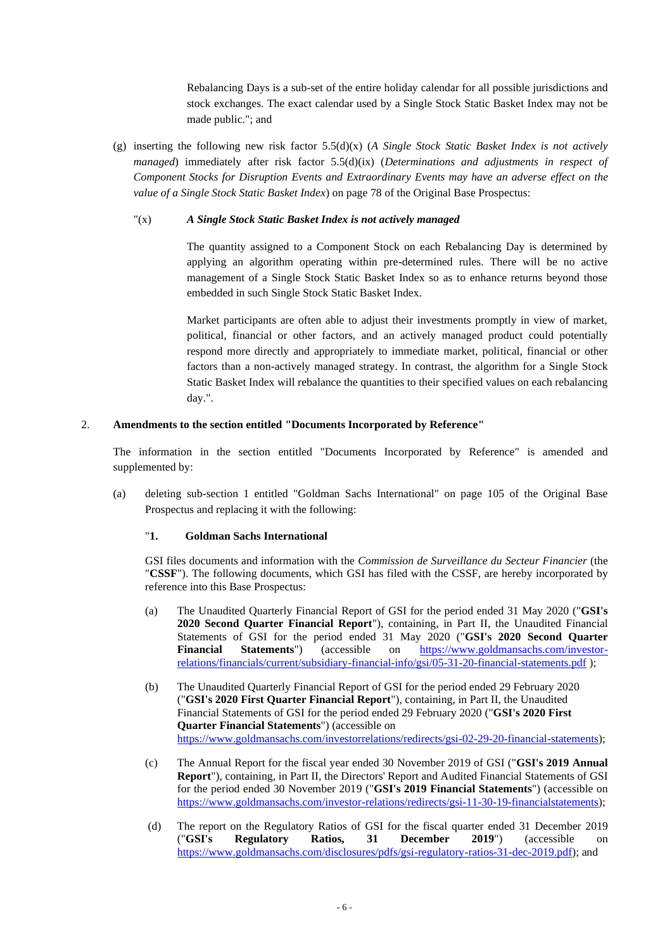Rebalancing Days is a sub-set of the entire holiday calendar for all possible jurisdictions and stock exchanges. The exact calendar used by a Single Stock Static Basket Index may not be made public."; and

(g) inserting the following new risk factor 5.5(d)(x) (*A Single Stock Static Basket Index is not actively managed*) immediately after risk factor 5.5(d)(ix) (*Determinations and adjustments in respect of Component Stocks for Disruption Events and Extraordinary Events may have an adverse effect on the value of a Single Stock Static Basket Index*) on page 78 of the Original Base Prospectus:

## "(x) *A Single Stock Static Basket Index is not actively managed*

The quantity assigned to a Component Stock on each Rebalancing Day is determined by applying an algorithm operating within pre-determined rules. There will be no active management of a Single Stock Static Basket Index so as to enhance returns beyond those embedded in such Single Stock Static Basket Index.

Market participants are often able to adjust their investments promptly in view of market, political, financial or other factors, and an actively managed product could potentially respond more directly and appropriately to immediate market, political, financial or other factors than a non-actively managed strategy. In contrast, the algorithm for a Single Stock Static Basket Index will rebalance the quantities to their specified values on each rebalancing day.".

## 2. **Amendments to the section entitled "Documents Incorporated by Reference"**

The information in the section entitled "Documents Incorporated by Reference" is amended and supplemented by:

(a) deleting sub-section 1 entitled "Goldman Sachs International" on page 105 of the Original Base Prospectus and replacing it with the following:

#### "**1. Goldman Sachs International**

GSI files documents and information with the *Commission de Surveillance du Secteur Financier* (the "**CSSF**"). The following documents, which GSI has filed with the CSSF, are hereby incorporated by reference into this Base Prospectus:

- (a) The Unaudited Quarterly Financial Report of GSI for the period ended 31 May 2020 ("**GSI's 2020 Second Quarter Financial Report**"), containing, in Part II, the Unaudited Financial Statements of GSI for the period ended 31 May 2020 ("**GSI's 2020 Second Quarter Financial Statements**") (accessible on [https://www.goldmansachs.com/investor](https://protect-eu.mimecast.com/s/zlJ6CX6LZC0Lj7Vh6lPbv)[relations/financials/current/subsidiary-financial-info/gsi/05-31-20-financial-statements.pdf](https://protect-eu.mimecast.com/s/zlJ6CX6LZC0Lj7Vh6lPbv) );
- (b) The Unaudited Quarterly Financial Report of GSI for the period ended 29 February 2020 ("**GSI's 2020 First Quarter Financial Report**"), containing, in Part II, the Unaudited Financial Statements of GSI for the period ended 29 February 2020 ("**GSI's 2020 First Quarter Financial Statements**") (accessible on [https://www.goldmansachs.com/investorrelations/redirects/gsi-02-29-20-financial-statements\)](https://www.goldmansachs.com/investorrelations/redirects/gsi-02-29-20-financial-statements);
- (c) The Annual Report for the fiscal year ended 30 November 2019 of GSI ("**GSI's 2019 Annual Report**"), containing, in Part II, the Directors' Report and Audited Financial Statements of GSI for the period ended 30 November 2019 ("**GSI's 2019 Financial Statements**") (accessible on [https://www.goldmansachs.com/investor-relations/redirects/gsi-11-30-19-financialstatements\)](https://www.goldmansachs.com/investor-relations/redirects/gsi-11-30-19-financialstatements);
- (d) The report on the Regulatory Ratios of GSI for the fiscal quarter ended 31 December 2019 ("**GSI's Regulatory Ratios, 31 December 2019**") (accessible on [https://www.goldmansachs.com/disclosures/pdfs/gsi-regulatory-ratios-31-dec-2019.pdf\)](https://www.goldmansachs.com/disclosures/pdfs/gsi-regulatory-ratios-31-dec-2019.pdf); and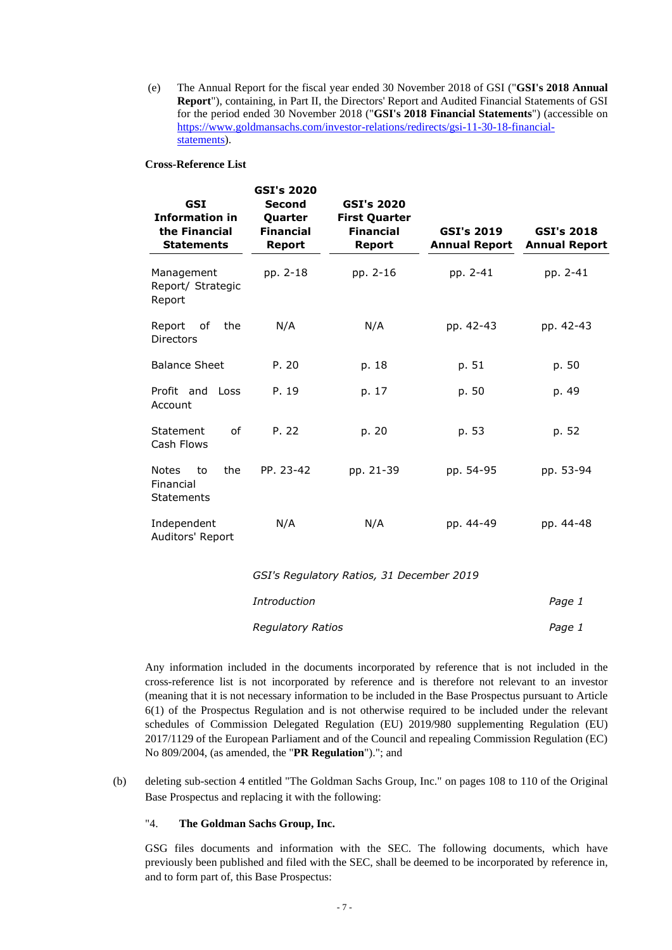(e) The Annual Report for the fiscal year ended 30 November 2018 of GSI ("**GSI's 2018 Annual Report**"), containing, in Part II, the Directors' Report and Audited Financial Statements of GSI for the period ended 30 November 2018 ("**GSI's 2018 Financial Statements**") (accessible on [https://www.goldmansachs.com/investor-relations/redirects/gsi-11-30-18-financial](https://www.goldmansachs.com/investor-relations/redirects/gsi-11-30-18-financial-statements)[statements\)](https://www.goldmansachs.com/investor-relations/redirects/gsi-11-30-18-financial-statements).

#### **Cross-Reference List**

| <b>GSI</b><br><b>Information in</b><br>the Financial<br><b>Statements</b> | <b>GSI's 2020</b><br><b>Second</b><br>Quarter<br><b>Financial</b><br><b>Report</b> | <b>GSI's 2020</b><br><b>First Quarter</b><br><b>Financial</b><br>Report | <b>GSI's 2019</b><br><b>Annual Report</b> | <b>GSI's 2018</b><br><b>Annual Report</b> |
|---------------------------------------------------------------------------|------------------------------------------------------------------------------------|-------------------------------------------------------------------------|-------------------------------------------|-------------------------------------------|
| Management<br>Report/ Strategic<br>Report                                 | pp. 2-18                                                                           | pp. 2-16                                                                | pp. 2-41                                  | pp. 2-41                                  |
| Report<br>of<br>the<br><b>Directors</b>                                   | N/A                                                                                | N/A                                                                     | pp. 42-43                                 | pp. 42-43                                 |
| <b>Balance Sheet</b>                                                      | P. 20                                                                              | p. 18                                                                   | p. 51                                     | p. 50                                     |
| Profit and<br>Loss<br>Account                                             | P. 19                                                                              | p. 17                                                                   | p. 50                                     | p. 49                                     |
| Statement<br>of<br>Cash Flows                                             | P. 22                                                                              | p. 20                                                                   | p. 53                                     | p. 52                                     |
| <b>Notes</b><br>to<br>the<br>Financial<br><b>Statements</b>               | PP. 23-42                                                                          | pp. 21-39                                                               | pp. 54-95                                 | pp. 53-94                                 |
| Independent<br>Auditors' Report                                           | N/A                                                                                | N/A                                                                     | pp. 44-49                                 | pp. 44-48                                 |
|                                                                           |                                                                                    | GSI's Regulatory Ratios, 31 December 2019                               |                                           |                                           |

| <i>Introduction</i>      | Page 1 |
|--------------------------|--------|
| <b>Regulatory Ratios</b> | Page 1 |

Any information included in the documents incorporated by reference that is not included in the cross-reference list is not incorporated by reference and is therefore not relevant to an investor (meaning that it is not necessary information to be included in the Base Prospectus pursuant to Article 6(1) of the Prospectus Regulation and is not otherwise required to be included under the relevant schedules of Commission Delegated Regulation (EU) 2019/980 supplementing Regulation (EU) 2017/1129 of the European Parliament and of the Council and repealing Commission Regulation (EC) No 809/2004, (as amended, the "**PR Regulation**")."; and

(b) deleting sub-section 4 entitled "The Goldman Sachs Group, Inc." on pages 108 to 110 of the Original Base Prospectus and replacing it with the following:

## "4. **The Goldman Sachs Group, Inc.**

GSG files documents and information with the SEC. The following documents, which have previously been published and filed with the SEC, shall be deemed to be incorporated by reference in, and to form part of, this Base Prospectus: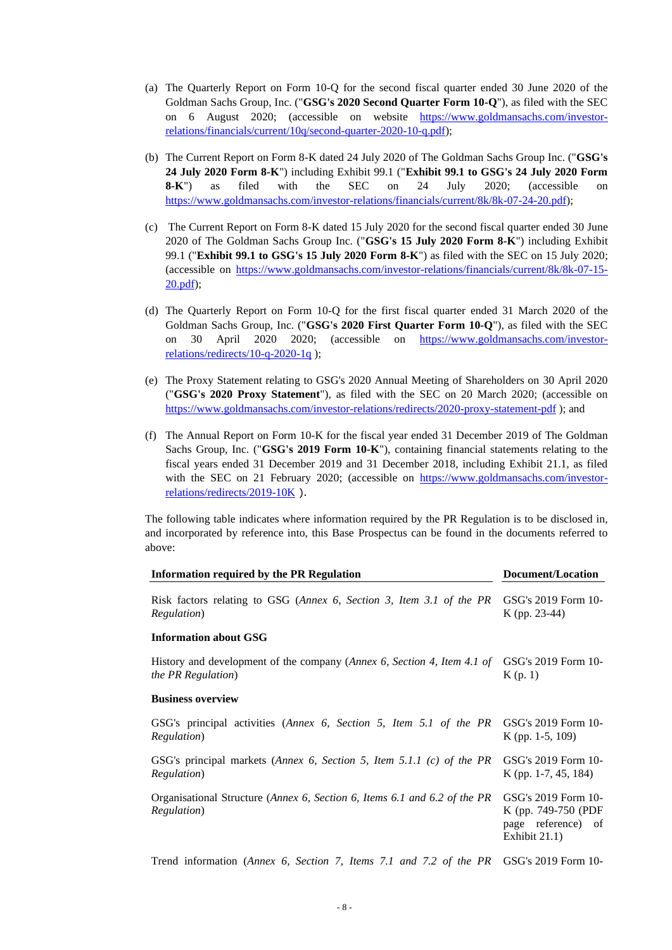- (a) The Quarterly Report on Form 10-Q for the second fiscal quarter ended 30 June 2020 of the Goldman Sachs Group, Inc. ("**GSG's 2020 Second Quarter Form 10-Q**"), as filed with the SEC on 6 August 2020; (accessible on website [https://www.goldmansachs.com/investor](https://protect-eu.mimecast.com/s/gwzpCEl8ztME628FNEYjS)[relations/financials/current/10q/second-quarter-2020-10-q.pdf\)](https://protect-eu.mimecast.com/s/gwzpCEl8ztME628FNEYjS);
- (b) The Current Report on Form 8-K dated 24 July 2020 of The Goldman Sachs Group Inc. ("**GSG's 24 July 2020 Form 8-K**") including Exhibit 99.1 ("**Exhibit 99.1 to GSG's 24 July 2020 Form 8-K**") as filed with the SEC on 24 July 2020; (accessible on [https://www.goldmansachs.com/investor-relations/financials/current/8k/8k-07-24-20.pdf\)](https://protect-eu.mimecast.com/s/A2i-Cr08LtoJOQmH7D3c_);
- (c) The Current Report on Form 8-K dated 15 July 2020 for the second fiscal quarter ended 30 June 2020 of The Goldman Sachs Group Inc. ("**GSG's 15 July 2020 Form 8-K**") including Exhibit 99.1 ("**Exhibit 99.1 to GSG's 15 July 2020 Form 8-K**") as filed with the SEC on 15 July 2020; (accessible on [https://www.goldmansachs.com/investor-relations/financials/current/8k/8k-07-15-](https://protect-eu.mimecast.com/s/NADXCAnNvf2RlZJTGv66_) [20.pdf\)](https://protect-eu.mimecast.com/s/NADXCAnNvf2RlZJTGv66_);
- (d) The Quarterly Report on Form 10-Q for the first fiscal quarter ended 31 March 2020 of the Goldman Sachs Group, Inc. ("**GSG's 2020 First Quarter Form 10-Q**"), as filed with the SEC on 30 April 2020 2020; (accessible on [https://www.goldmansachs.com/investor](https://www.goldmansachs.com/investor-relations/redirects/10-q-2020-1q)[relations/redirects/10-q-2020-1q](https://www.goldmansachs.com/investor-relations/redirects/10-q-2020-1q) );
- (e) The Proxy Statement relating to GSG's 2020 Annual Meeting of Shareholders on 30 April 2020 ("**GSG's 2020 Proxy Statement**"), as filed with the SEC on 20 March 2020; (accessible on <https://www.goldmansachs.com/investor-relations/redirects/2020-proxy-statement-pdf>); and
- (f) The Annual Report on Form 10-K for the fiscal year ended 31 December 2019 of The Goldman Sachs Group, Inc. ("**GSG's 2019 Form 10-K**"), containing financial statements relating to the fiscal years ended 31 December 2019 and 31 December 2018, including Exhibit 21.1, as filed with the SEC on 21 February 2020; (accessible on [https://www.goldmansachs.com/investor](https://www.goldmansachs.com/investor-relations/redirects/2019-10K)[relations/redirects/2019-10K](https://www.goldmansachs.com/investor-relations/redirects/2019-10K) ).

The following table indicates where information required by the PR Regulation is to be disclosed in, and incorporated by reference into, this Base Prospectus can be found in the documents referred to above:

| <b>Information required by the PR Regulation</b>                                                      | Document/Location                                                                 |  |
|-------------------------------------------------------------------------------------------------------|-----------------------------------------------------------------------------------|--|
| Risk factors relating to GSG (Annex 6, Section 3, Item 3.1 of the PR<br><i>Regulation</i> )           | GSG's 2019 Form 10-<br>$K$ (pp. 23-44)                                            |  |
| <b>Information about GSG</b>                                                                          |                                                                                   |  |
| History and development of the company (Annex 6, Section 4, Item 4.1 of<br><i>the PR Regulation</i> ) | GSG's 2019 Form 10-<br>K(p, 1)                                                    |  |
| <b>Business overview</b>                                                                              |                                                                                   |  |
| GSG's principal activities (Annex 6, Section 5, Item 5.1 of the PR<br><i>Regulation</i> )             | GSG's 2019 Form 10-<br>$K$ (pp. 1-5, 109)                                         |  |
| GSG's principal markets (Annex 6, Section 5, Item 5.1.1 (c) of the PR<br>Regulation)                  | GSG's 2019 Form 10-<br>K (pp. 1-7, 45, 184)                                       |  |
| Organisational Structure (Annex 6, Section 6, Items 6.1 and 6.2 of the PR<br><i>Regulation</i> )      | GSG's 2019 Form 10-<br>K (pp. 749-750 (PDF<br>page reference) of<br>Exhibit 21.1) |  |
| Trend information (Annex 6, Section 7, Items 7.1 and 7.2 of the PR                                    | GSG's 2019 Form 10-                                                               |  |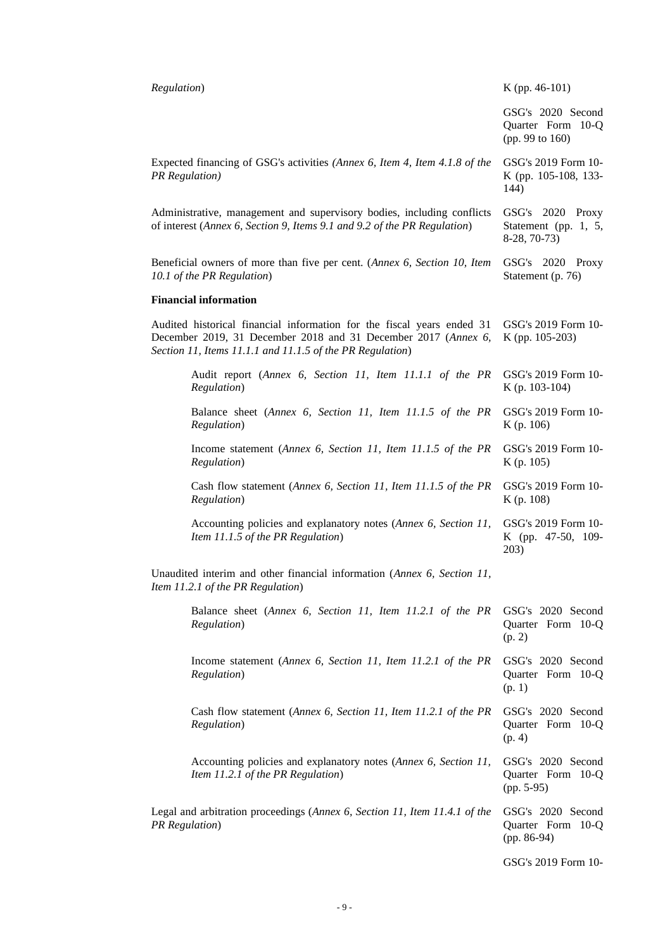| Regulation)                                                                                                  |                                                                                                                                                                                                       | $K$ (pp. 46-101)                                          |  |
|--------------------------------------------------------------------------------------------------------------|-------------------------------------------------------------------------------------------------------------------------------------------------------------------------------------------------------|-----------------------------------------------------------|--|
|                                                                                                              |                                                                                                                                                                                                       | GSG's 2020 Second<br>Quarter Form 10-Q<br>(pp. 99 to 160) |  |
| <b>PR</b> Regulation)                                                                                        | Expected financing of GSG's activities (Annex 6, Item 4, Item 4.1.8 of the                                                                                                                            | GSG's 2019 Form 10-<br>K (pp. 105-108, 133-<br>144)       |  |
|                                                                                                              | Administrative, management and supervisory bodies, including conflicts<br>of interest (Annex 6, Section 9, Items 9.1 and 9.2 of the PR Regulation)                                                    | GSG's 2020 Proxy<br>Statement (pp. 1, 5,<br>$8-28, 70-73$ |  |
|                                                                                                              | Beneficial owners of more than five per cent. (Annex 6, Section 10, Item<br>10.1 of the PR Regulation)                                                                                                | GSG's 2020 Proxy<br>Statement (p. 76)                     |  |
|                                                                                                              | <b>Financial information</b>                                                                                                                                                                          |                                                           |  |
|                                                                                                              | Audited historical financial information for the fiscal years ended 31<br>December 2019, 31 December 2018 and 31 December 2017 (Annex 6,<br>Section 11, Items 11.1.1 and 11.1.5 of the PR Regulation) | GSG's 2019 Form 10-<br>K (pp. 105-203)                    |  |
|                                                                                                              | Audit report (Annex 6, Section 11, Item 11.1.1 of the PR<br>Regulation)                                                                                                                               | GSG's 2019 Form 10-<br>$K$ (p. 103-104)                   |  |
|                                                                                                              | Balance sheet (Annex 6, Section 11, Item 11.1.5 of the PR<br>Regulation)                                                                                                                              | GSG's 2019 Form 10-<br>K (p. 106)                         |  |
|                                                                                                              | Income statement (Annex 6, Section 11, Item 11.1.5 of the PR<br>Regulation)                                                                                                                           | GSG's 2019 Form 10-<br>K (p. 105)                         |  |
|                                                                                                              | Cash flow statement (Annex 6, Section 11, Item 11.1.5 of the PR<br>Regulation)                                                                                                                        | GSG's 2019 Form 10-<br>K (p. 108)                         |  |
|                                                                                                              | Accounting policies and explanatory notes (Annex 6, Section 11,<br>Item 11.1.5 of the PR Regulation)                                                                                                  | GSG's 2019 Form 10-<br>K (pp. 47-50, 109-<br>203)         |  |
| Unaudited interim and other financial information (Annex 6, Section 11,<br>Item 11.2.1 of the PR Regulation) |                                                                                                                                                                                                       |                                                           |  |
|                                                                                                              | Balance sheet (Annex 6, Section 11, Item 11.2.1 of the PR<br>Regulation)                                                                                                                              | GSG's 2020 Second<br>Quarter Form 10-Q<br>(p. 2)          |  |
|                                                                                                              | Income statement (Annex 6, Section 11, Item 11.2.1 of the PR<br>Regulation)                                                                                                                           | GSG's 2020 Second<br>Quarter Form 10-Q<br>(p. 1)          |  |
|                                                                                                              | Cash flow statement (Annex 6, Section 11, Item 11.2.1 of the PR<br>Regulation)                                                                                                                        | GSG's 2020 Second<br>Quarter Form 10-Q<br>(p. 4)          |  |
|                                                                                                              | Accounting policies and explanatory notes (Annex 6, Section 11,<br>Item 11.2.1 of the PR Regulation)                                                                                                  | GSG's 2020 Second<br>Quarter Form 10-Q<br>$(pp. 5-95)$    |  |
| Legal and arbitration proceedings (Annex 6, Section 11, Item 11.4.1 of the<br><b>PR</b> Regulation)          |                                                                                                                                                                                                       | GSG's 2020 Second<br>Quarter Form 10-Q<br>$(pp. 86-94)$   |  |
|                                                                                                              |                                                                                                                                                                                                       | GSG's 2019 Form 10-                                       |  |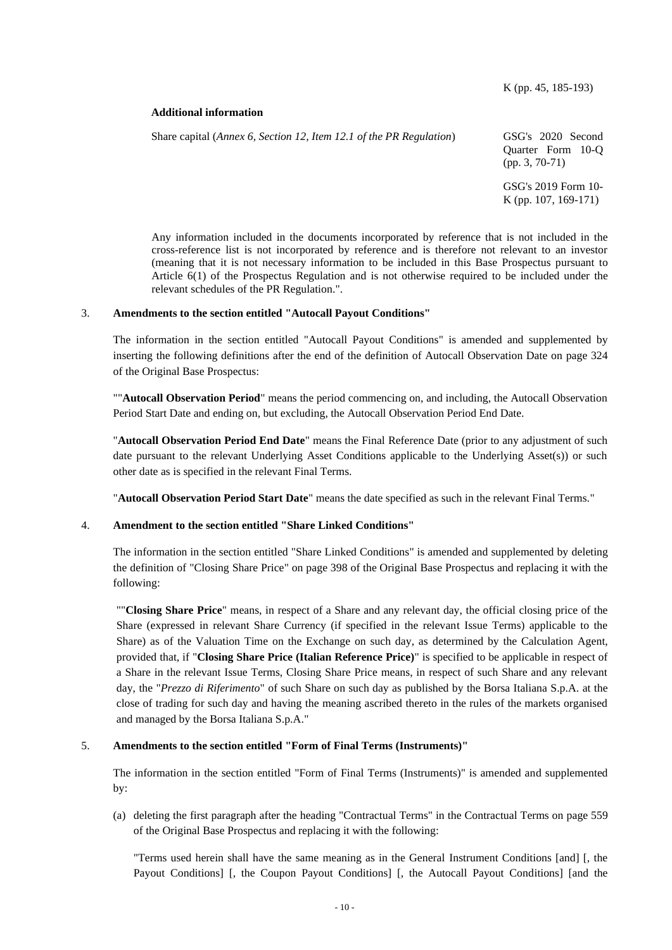## **Additional information**

Share capital (*Annex 6, Section 12, Item 12.1 of the PR Regulation*) GSG's 2020 Second Quarter Form 10-Q (pp. 3, 70-71) GSG's 2019 Form 10- K (pp. 107, 169-171)

Any information included in the documents incorporated by reference that is not included in the cross-reference list is not incorporated by reference and is therefore not relevant to an investor (meaning that it is not necessary information to be included in this Base Prospectus pursuant to Article 6(1) of the Prospectus Regulation and is not otherwise required to be included under the relevant schedules of the PR Regulation.".

## 3. **Amendments to the section entitled "Autocall Payout Conditions"**

The information in the section entitled "Autocall Payout Conditions" is amended and supplemented by inserting the following definitions after the end of the definition of Autocall Observation Date on page 324 of the Original Base Prospectus:

""**Autocall Observation Period**" means the period commencing on, and including, the Autocall Observation Period Start Date and ending on, but excluding, the Autocall Observation Period End Date.

"**Autocall Observation Period End Date**" means the Final Reference Date (prior to any adjustment of such date pursuant to the relevant Underlying Asset Conditions applicable to the Underlying Asset(s)) or such other date as is specified in the relevant Final Terms.

"**Autocall Observation Period Start Date**" means the date specified as such in the relevant Final Terms."

#### 4. **Amendment to the section entitled "Share Linked Conditions"**

The information in the section entitled "Share Linked Conditions" is amended and supplemented by deleting the definition of "Closing Share Price" on page 398 of the Original Base Prospectus and replacing it with the following:

""**Closing Share Price**" means, in respect of a Share and any relevant day, the official closing price of the Share (expressed in relevant Share Currency (if specified in the relevant Issue Terms) applicable to the Share) as of the Valuation Time on the Exchange on such day, as determined by the Calculation Agent, provided that, if "**Closing Share Price (Italian Reference Price)**" is specified to be applicable in respect of a Share in the relevant Issue Terms, Closing Share Price means, in respect of such Share and any relevant day, the "*Prezzo di Riferimento*" of such Share on such day as published by the Borsa Italiana S.p.A. at the close of trading for such day and having the meaning ascribed thereto in the rules of the markets organised and managed by the Borsa Italiana S.p.A."

## 5. **Amendments to the section entitled "Form of Final Terms (Instruments)"**

The information in the section entitled "Form of Final Terms (Instruments)" is amended and supplemented by:

(a) deleting the first paragraph after the heading "Contractual Terms" in the Contractual Terms on page 559 of the Original Base Prospectus and replacing it with the following:

"Terms used herein shall have the same meaning as in the General Instrument Conditions [and] [, the Payout Conditions] [, the Coupon Payout Conditions] [, the Autocall Payout Conditions] [and the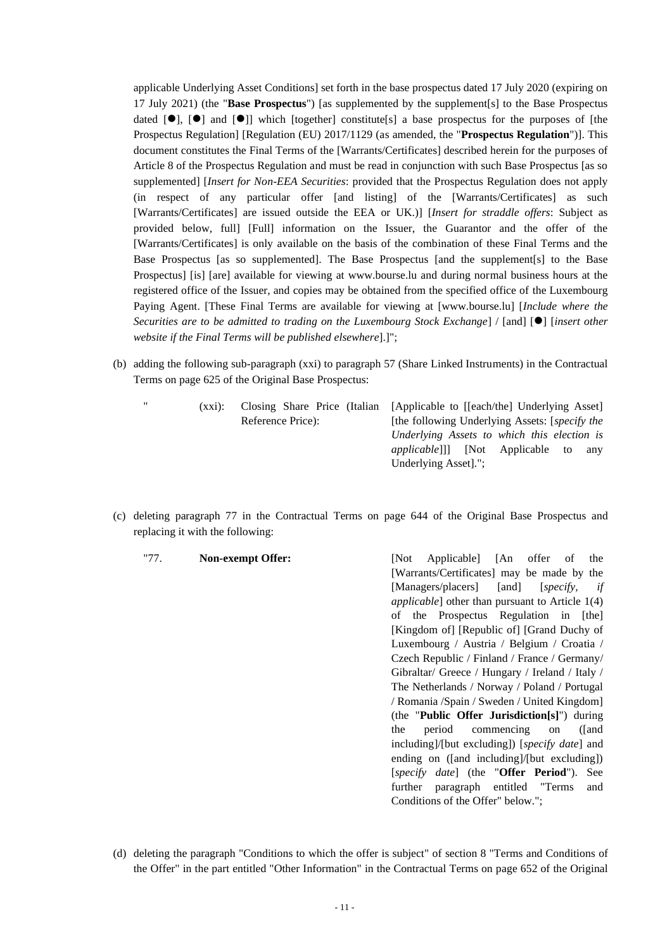applicable Underlying Asset Conditions] set forth in the base prospectus dated 17 July 2020 (expiring on 17 July 2021) (the "**Base Prospectus**") [as supplemented by the supplement[s] to the Base Prospectus dated  $[\bullet]$ ,  $[\bullet]$  and  $[\bullet]$ ] which [together] constitute[s] a base prospectus for the purposes of [the Prospectus Regulation] [Regulation (EU) 2017/1129 (as amended, the "**Prospectus Regulation**")]. This document constitutes the Final Terms of the [Warrants/Certificates] described herein for the purposes of Article 8 of the Prospectus Regulation and must be read in conjunction with such Base Prospectus [as so supplemented] [*Insert for Non-EEA Securities*: provided that the Prospectus Regulation does not apply (in respect of any particular offer [and listing] of the [Warrants/Certificates] as such [Warrants/Certificates] are issued outside the EEA or UK.)] [*Insert for straddle offers*: Subject as provided below, full] [Full] information on the Issuer, the Guarantor and the offer of the [Warrants/Certificates] is only available on the basis of the combination of these Final Terms and the Base Prospectus [as so supplemented]. The Base Prospectus [and the supplement[s] to the Base Prospectus] [is] [are] available for viewing at www.bourse.lu and during normal business hours at the registered office of the Issuer, and copies may be obtained from the specified office of the Luxembourg Paying Agent. [These Final Terms are available for viewing at [www.bourse.lu] [*Include where the Securities are to be admitted to trading on the Luxembourg Stock Exchange*] / [and] [⚫] [*insert other website if the Final Terms will be published elsewhere*].]";

- (b) adding the following sub-paragraph (xxi) to paragraph 57 (Share Linked Instruments) in the Contractual Terms on page 625 of the Original Base Prospectus:
	-

Reference Price):

" (xxi): Closing Share Price (Italian [Applicable to [[each/the] Underlying Asset] [the following Underlying Assets: [*specify the Underlying Assets to which this election is applicable*]]] [Not Applicable to any Underlying Asset].";

Conditions of the Offer" below.";

- (c) deleting paragraph 77 in the Contractual Terms on page 644 of the Original Base Prospectus and replacing it with the following:
	- "77. **Non-exempt Offer:** [Not Applicable] [An offer of the [Warrants/Certificates] may be made by the [Managers/placers] [and] [*specify, if applicable*] other than pursuant to Article 1(4) of the Prospectus Regulation in [the] [Kingdom of] [Republic of] [Grand Duchy of Luxembourg / Austria / Belgium / Croatia / Czech Republic / Finland / France / Germany/ Gibraltar/ Greece / Hungary / Ireland / Italy / The Netherlands / Norway / Poland / Portugal / Romania /Spain / Sweden / United Kingdom] (the "**Public Offer Jurisdiction[s]**") during the period commencing on ([and including]/[but excluding]) [*specify date*] and ending on ([and including]/[but excluding]) [*specify date*] (the "**Offer Period**"). See further paragraph entitled "Terms and
- (d) deleting the paragraph "Conditions to which the offer is subject" of section 8 "Terms and Conditions of the Offer" in the part entitled "Other Information" in the Contractual Terms on page 652 of the Original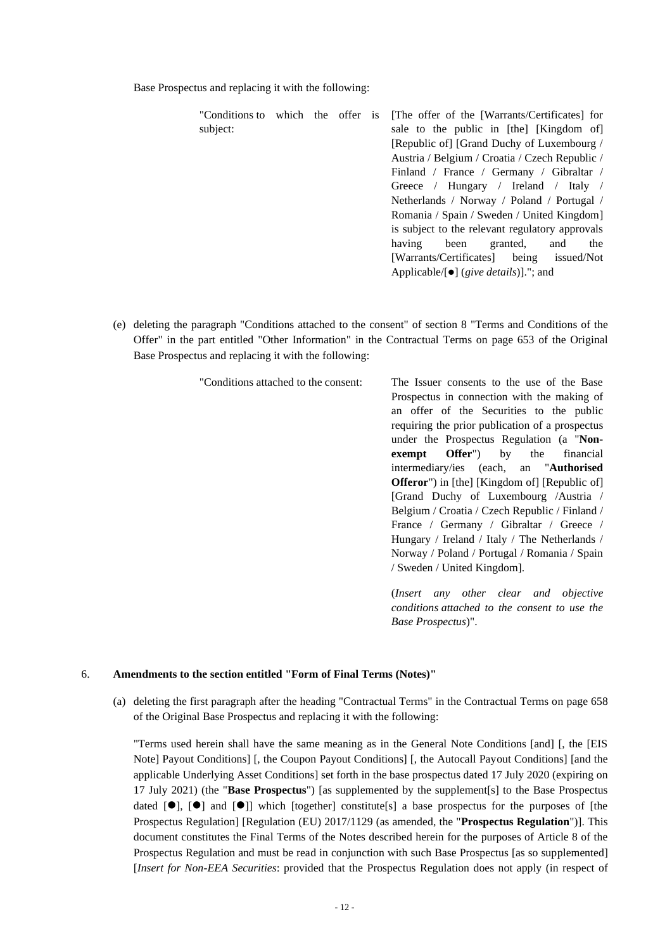Base Prospectus and replacing it with the following:

"Conditions to which the offer is subject:

- [The offer of the [Warrants/Certificates] for sale to the public in [the] [Kingdom of] [Republic of] [Grand Duchy of Luxembourg / Austria / Belgium / Croatia / Czech Republic / Finland / France / Germany / Gibraltar / Greece / Hungary / Ireland / Italy / Netherlands / Norway / Poland / Portugal / Romania / Spain / Sweden / United Kingdom] is subject to the relevant regulatory approvals having been granted, and the [Warrants/Certificates] being issued/Not Applicable/[⚫] (*give details*)]."; and
- (e) deleting the paragraph "Conditions attached to the consent" of section 8 "Terms and Conditions of the Offer" in the part entitled "Other Information" in the Contractual Terms on page 653 of the Original Base Prospectus and replacing it with the following:

"Conditions attached to the consent: The Issuer consents to the use of the Base Prospectus in connection with the making of an offer of the Securities to the public requiring the prior publication of a prospectus under the Prospectus Regulation (a "**Nonexempt Offer**") by the financial intermediary/ies (each, an "**Authorised Offeror**") in [the] [Kingdom of] [Republic of] [Grand Duchy of Luxembourg /Austria / Belgium / Croatia / Czech Republic / Finland / France / Germany / Gibraltar / Greece / Hungary / Ireland / Italy / The Netherlands / Norway / Poland / Portugal / Romania / Spain / Sweden / United Kingdom].

> (*Insert any other clear and objective conditions attached to the consent to use the Base Prospectus*)".

## 6. **Amendments to the section entitled "Form of Final Terms (Notes)"**

(a) deleting the first paragraph after the heading "Contractual Terms" in the Contractual Terms on page 658 of the Original Base Prospectus and replacing it with the following:

"Terms used herein shall have the same meaning as in the General Note Conditions [and] [, the [EIS Note] Payout Conditions] [, the Coupon Payout Conditions] [, the Autocall Payout Conditions] [and the applicable Underlying Asset Conditions] set forth in the base prospectus dated 17 July 2020 (expiring on 17 July 2021) (the "**Base Prospectus**") [as supplemented by the supplement[s] to the Base Prospectus dated  $[\bullet]$ ,  $[\bullet]$  and  $[\bullet]$ ] which [together] constitute[s] a base prospectus for the purposes of [the Prospectus Regulation] [Regulation (EU) 2017/1129 (as amended, the "**Prospectus Regulation**")]. This document constitutes the Final Terms of the Notes described herein for the purposes of Article 8 of the Prospectus Regulation and must be read in conjunction with such Base Prospectus [as so supplemented] [*Insert for Non-EEA Securities*: provided that the Prospectus Regulation does not apply (in respect of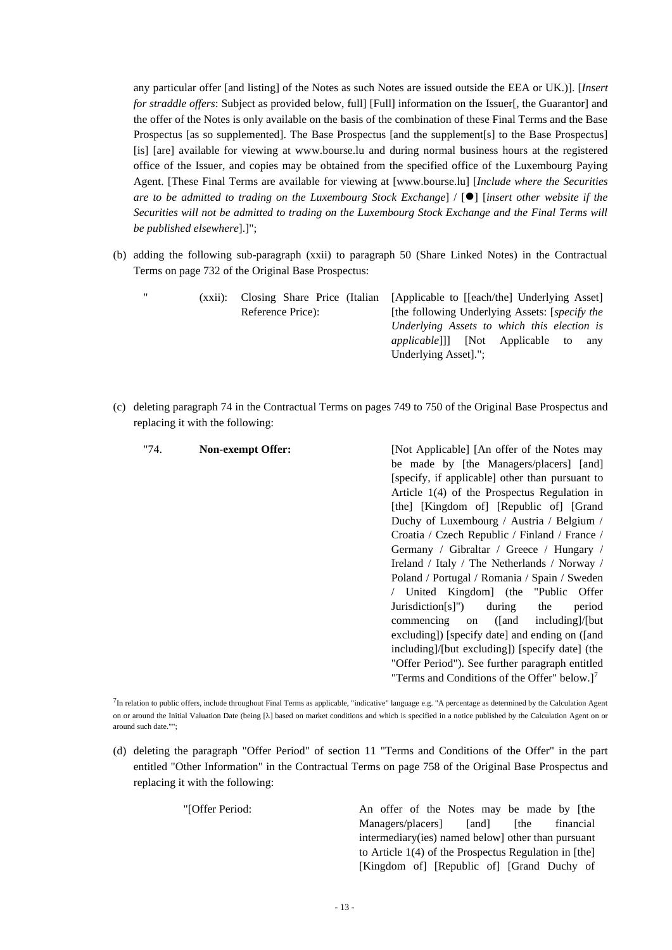any particular offer [and listing] of the Notes as such Notes are issued outside the EEA or UK.)]. [*Insert for straddle offers*: Subject as provided below, full] [Full] information on the Issuer[, the Guarantor] and the offer of the Notes is only available on the basis of the combination of these Final Terms and the Base Prospectus [as so supplemented]. The Base Prospectus [and the supplement[s] to the Base Prospectus] [is] [are] available for viewing at www.bourse.lu and during normal business hours at the registered office of the Issuer, and copies may be obtained from the specified office of the Luxembourg Paying Agent. [These Final Terms are available for viewing at [www.bourse.lu] [*Include where the Securities are to be admitted to trading on the Luxembourg Stock Exchange*] / [⚫] [*insert other website if the Securities will not be admitted to trading on the Luxembourg Stock Exchange and the Final Terms will be published elsewhere*].]";

(b) adding the following sub-paragraph (xxii) to paragraph 50 (Share Linked Notes) in the Contractual Terms on page 732 of the Original Base Prospectus:

(xxii): Closing Share Price (Italian) Reference Price): [Applicable to [[each/the] Underlying Asset] [the following Underlying Assets: [*specify the Underlying Assets to which this election is applicable*]]] [Not Applicable to any Underlying Asset].";

(c) deleting paragraph 74 in the Contractual Terms on pages 749 to 750 of the Original Base Prospectus and replacing it with the following:

| "74. | Non-exempt Offer: | [Not Applicable] [An offer of the Notes may     |  |  |
|------|-------------------|-------------------------------------------------|--|--|
|      |                   | be made by [the Managers/placers] [and]         |  |  |
|      |                   | [specify, if applicable] other than pursuant to |  |  |
|      |                   | Article $1(4)$ of the Prospectus Regulation in  |  |  |
|      |                   | [the] [Kingdom of] [Republic of] [Grand]        |  |  |
|      |                   | Duchy of Luxembourg / Austria / Belgium /       |  |  |
|      |                   | Croatia / Czech Republic / Finland / France /   |  |  |
|      |                   | Germany / Gibraltar / Greece / Hungary /        |  |  |
|      |                   | Ireland / Italy / The Netherlands / Norway /    |  |  |
|      |                   | Poland / Portugal / Romania / Spain / Sweden    |  |  |
|      |                   | United Kingdom] (the "Public Offer              |  |  |
|      |                   | Jurisdiction[s]")<br>during<br>the<br>period    |  |  |
|      |                   | commencing on ([and including]/[but]            |  |  |
|      |                   | excluding) [specify date] and ending on ([and]  |  |  |
|      |                   | including)/[but excluding]) [specify date] (the |  |  |
|      |                   | "Offer Period"). See further paragraph entitled |  |  |
|      |                   | "Terms and Conditions of the Offer" below.] $7$ |  |  |

<sup>7</sup>In relation to public offers, include throughout Final Terms as applicable, "indicative" language e.g. "A percentage as determined by the Calculation Agent on or around the Initial Valuation Date (being [ $\lambda$ ] based on market conditions and which is specified in a notice published by the Calculation Agent on or around such date."";

(d) deleting the paragraph "Offer Period" of section 11 "Terms and Conditions of the Offer" in the part entitled "Other Information" in the Contractual Terms on page 758 of the Original Base Prospectus and replacing it with the following:

"[Offer Period: An offer of the Notes may be made by [the Managers/placers] [and] [the financial intermediary(ies) named below] other than pursuant to Article 1(4) of the Prospectus Regulation in [the] [Kingdom of] [Republic of] [Grand Duchy of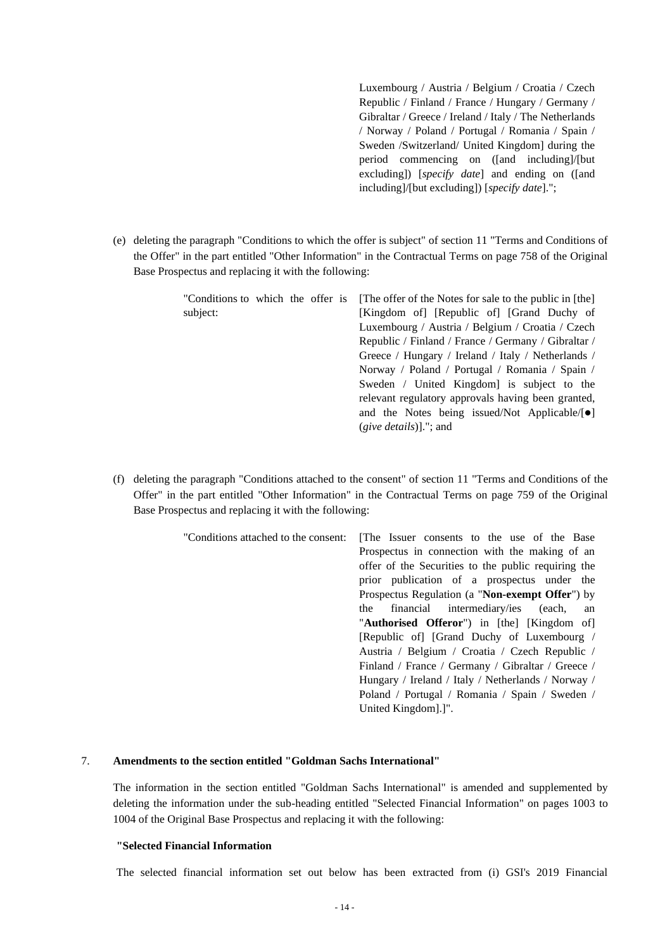Luxembourg / Austria / Belgium / Croatia / Czech Republic / Finland / France / Hungary / Germany / Gibraltar / Greece / Ireland / Italy / The Netherlands / Norway / Poland / Portugal / Romania / Spain / Sweden /Switzerland/ United Kingdom] during the period commencing on ([and including]/[but excluding]) [*specify date*] and ending on ([and including]/[but excluding]) [*specify date*].";

(e) deleting the paragraph "Conditions to which the offer is subject" of section 11 "Terms and Conditions of the Offer" in the part entitled "Other Information" in the Contractual Terms on page 758 of the Original Base Prospectus and replacing it with the following:

| "Conditions to which the offer is | The offer of the Notes for sale to the public in [the]  |
|-----------------------------------|---------------------------------------------------------|
| subject:                          | [Kingdom of] [Republic of] [Grand Duchy of              |
|                                   | Luxembourg / Austria / Belgium / Croatia / Czech        |
|                                   | Republic / Finland / France / Germany / Gibraltar /     |
|                                   | Greece / Hungary / Ireland / Italy / Netherlands /      |
|                                   | Norway / Poland / Portugal / Romania / Spain /          |
|                                   | Sweden / United Kingdom is subject to the               |
|                                   | relevant regulatory approvals having been granted,      |
|                                   | and the Notes being issued/Not Applicable/[ $\bullet$ ] |
|                                   | $(give details)$ ]."; and                               |

(f) deleting the paragraph "Conditions attached to the consent" of section 11 "Terms and Conditions of the Offer" in the part entitled "Other Information" in the Contractual Terms on page 759 of the Original Base Prospectus and replacing it with the following:

| "Conditions attached to the consent: | The Issuer consents to the use of the Base           |
|--------------------------------------|------------------------------------------------------|
|                                      | Prospectus in connection with the making of an       |
|                                      | offer of the Securities to the public requiring the  |
|                                      | prior publication of a prospectus under the          |
|                                      | Prospectus Regulation (a "Non-exempt Offer") by      |
|                                      | financial intermediary/ies (each,<br>the<br>an       |
|                                      | " <b>Authorised Offeror</b> ") in [the] [Kingdom of] |
|                                      | [Republic of] [Grand Duchy of Luxembourg /           |
|                                      | Austria / Belgium / Croatia / Czech Republic /       |
|                                      | Finland / France / Germany / Gibraltar / Greece /    |
|                                      | Hungary / Ireland / Italy / Netherlands / Norway /   |
|                                      | Poland / Portugal / Romania / Spain / Sweden /       |
|                                      | United Kingdom"                                      |

## 7. **Amendments to the section entitled "Goldman Sachs International"**

The information in the section entitled "Goldman Sachs International" is amended and supplemented by deleting the information under the sub-heading entitled "Selected Financial Information" on pages 1003 to 1004 of the Original Base Prospectus and replacing it with the following:

#### **"Selected Financial Information**

The selected financial information set out below has been extracted from (i) GSI's 2019 Financial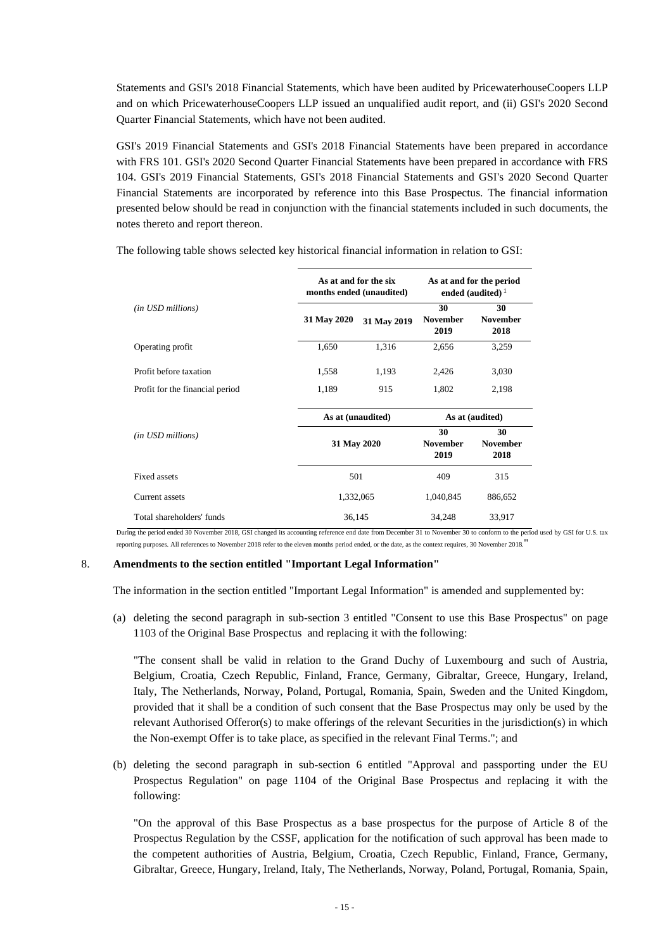Statements and GSI's 2018 Financial Statements, which have been audited by PricewaterhouseCoopers LLP and on which PricewaterhouseCoopers LLP issued an unqualified audit report, and (ii) GSI's 2020 Second Quarter Financial Statements, which have not been audited.

GSI's 2019 Financial Statements and GSI's 2018 Financial Statements have been prepared in accordance with FRS 101. GSI's 2020 Second Quarter Financial Statements have been prepared in accordance with FRS 104. GSI's 2019 Financial Statements, GSI's 2018 Financial Statements and GSI's 2020 Second Quarter Financial Statements are incorporated by reference into this Base Prospectus. The financial information presented below should be read in conjunction with the financial statements included in such documents, the notes thereto and report thereon.

The following table shows selected key historical financial information in relation to GSI:

|                                 | As at and for the six<br>As at and for the period<br>months ended (unaudited)<br>ended (audited) $1$ |             |                               |                               |
|---------------------------------|------------------------------------------------------------------------------------------------------|-------------|-------------------------------|-------------------------------|
| (in USD millions)               | 31 May 2020                                                                                          | 31 May 2019 | 30<br><b>November</b><br>2019 | 30<br><b>November</b><br>2018 |
| Operating profit                | 1,650                                                                                                | 1,316       | 2,656                         | 3,259                         |
| Profit before taxation          | 1,558                                                                                                | 1,193       | 2,426                         | 3,030                         |
| Profit for the financial period | 1,189                                                                                                | 915         | 1,802                         | 2,198                         |
|                                 | As at (audited)<br>As at (unaudited)                                                                 |             |                               |                               |
| (in USD millions)               | 31 May 2020                                                                                          |             | 30<br><b>November</b><br>2019 | 30<br><b>November</b><br>2018 |
| Fixed assets                    | 501                                                                                                  |             | 409                           | 315                           |
| Current assets                  | 1,332,065                                                                                            |             | 1,040,845                     | 886,652                       |
| Total shareholders' funds       | 36,145                                                                                               |             | 34,248                        | 33,917                        |

During the period ended 30 November 2018, GSI changed its accounting reference end date from December 31 to November 30 to conform to the period used by GSI for U.S. tax reporting purposes. All references to November 2018 refer to the eleven months period ended, or the date, as the context requires, 30 November 2018.

### 8. **Amendments to the section entitled "Important Legal Information"**

The information in the section entitled "Important Legal Information" is amended and supplemented by:

(a) deleting the second paragraph in sub-section 3 entitled "Consent to use this Base Prospectus" on page 1103 of the Original Base Prospectus and replacing it with the following:

"The consent shall be valid in relation to the Grand Duchy of Luxembourg and such of Austria, Belgium, Croatia, Czech Republic, Finland, France, Germany, Gibraltar, Greece, Hungary, Ireland, Italy, The Netherlands, Norway, Poland, Portugal, Romania, Spain, Sweden and the United Kingdom, provided that it shall be a condition of such consent that the Base Prospectus may only be used by the relevant Authorised Offeror(s) to make offerings of the relevant Securities in the jurisdiction(s) in which the Non-exempt Offer is to take place, as specified in the relevant Final Terms."; and

(b) deleting the second paragraph in sub-section 6 entitled "Approval and passporting under the EU Prospectus Regulation" on page 1104 of the Original Base Prospectus and replacing it with the following:

"On the approval of this Base Prospectus as a base prospectus for the purpose of Article 8 of the Prospectus Regulation by the CSSF, application for the notification of such approval has been made to the competent authorities of Austria, Belgium, Croatia, Czech Republic, Finland, France, Germany, Gibraltar, Greece, Hungary, Ireland, Italy, The Netherlands, Norway, Poland, Portugal, Romania, Spain,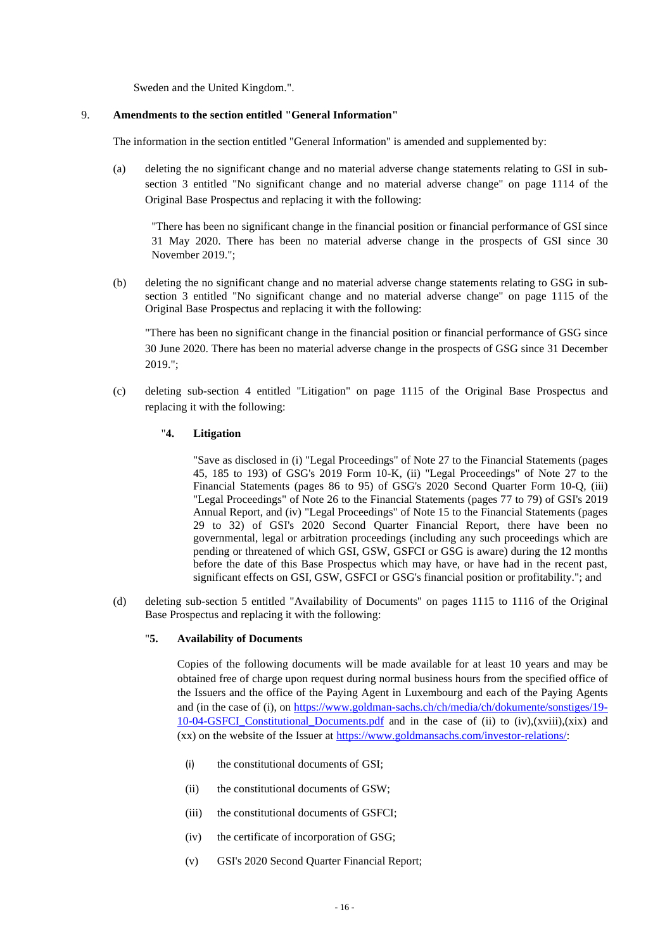Sweden and the United Kingdom.".

## 9. **Amendments to the section entitled "General Information"**

The information in the section entitled "General Information" is amended and supplemented by:

(a) deleting the no significant change and no material adverse change statements relating to GSI in subsection 3 entitled "No significant change and no material adverse change" on page 1114 of the Original Base Prospectus and replacing it with the following:

"There has been no significant change in the financial position or financial performance of GSI since 31 May 2020. There has been no material adverse change in the prospects of GSI since 30 November 2019.";

(b) deleting the no significant change and no material adverse change statements relating to GSG in subsection 3 entitled "No significant change and no material adverse change" on page 1115 of the Original Base Prospectus and replacing it with the following:

"There has been no significant change in the financial position or financial performance of GSG since 30 June 2020. There has been no material adverse change in the prospects of GSG since 31 December 2019.";

(c) deleting sub-section 4 entitled "Litigation" on page 1115 of the Original Base Prospectus and replacing it with the following:

## "**4. Litigation**

"Save as disclosed in (i) "Legal Proceedings" of Note 27 to the Financial Statements (pages 45, 185 to 193) of GSG's 2019 Form 10-K, (ii) "Legal Proceedings" of Note 27 to the Financial Statements (pages 86 to 95) of GSG's 2020 Second Quarter Form 10-Q, (iii) "Legal Proceedings" of Note 26 to the Financial Statements (pages 77 to 79) of GSI's 2019 Annual Report, and (iv) "Legal Proceedings" of Note 15 to the Financial Statements (pages 29 to 32) of GSI's 2020 Second Quarter Financial Report, there have been no governmental, legal or arbitration proceedings (including any such proceedings which are pending or threatened of which GSI, GSW, GSFCI or GSG is aware) during the 12 months before the date of this Base Prospectus which may have, or have had in the recent past, significant effects on GSI, GSW, GSFCI or GSG's financial position or profitability."; and

(d) deleting sub-section 5 entitled "Availability of Documents" on pages 1115 to 1116 of the Original Base Prospectus and replacing it with the following:

## "**5. Availability of Documents**

Copies of the following documents will be made available for at least 10 years and may be obtained free of charge upon request during normal business hours from the specified office of the Issuers and the office of the Paying Agent in Luxembourg and each of the Paying Agents and (in the case of (i), on [https://www.goldman-sachs.ch/ch/media/ch/dokumente/sonstiges/19-](https://www.goldman-sachs.ch/ch/media/ch/dokumente/sonstiges/19-10-04-GSFCI_Constitutional_Documents.pdf) [10-04-GSFCI\\_Constitutional\\_Documents.pdf](https://www.goldman-sachs.ch/ch/media/ch/dokumente/sonstiges/19-10-04-GSFCI_Constitutional_Documents.pdf) and in the case of (ii) to (iv),(xviii),(xix) and (xx) on the website of the Issuer at [https://www.goldmansachs.com/investor-relations/:](https://www.goldmansachs.com/investor-relations/)

- (i) the constitutional documents of GSI;
- (ii) the constitutional documents of GSW;
- (iii) the constitutional documents of GSFCI;
- (iv) the certificate of incorporation of GSG;
- (v) GSI's 2020 Second Quarter Financial Report;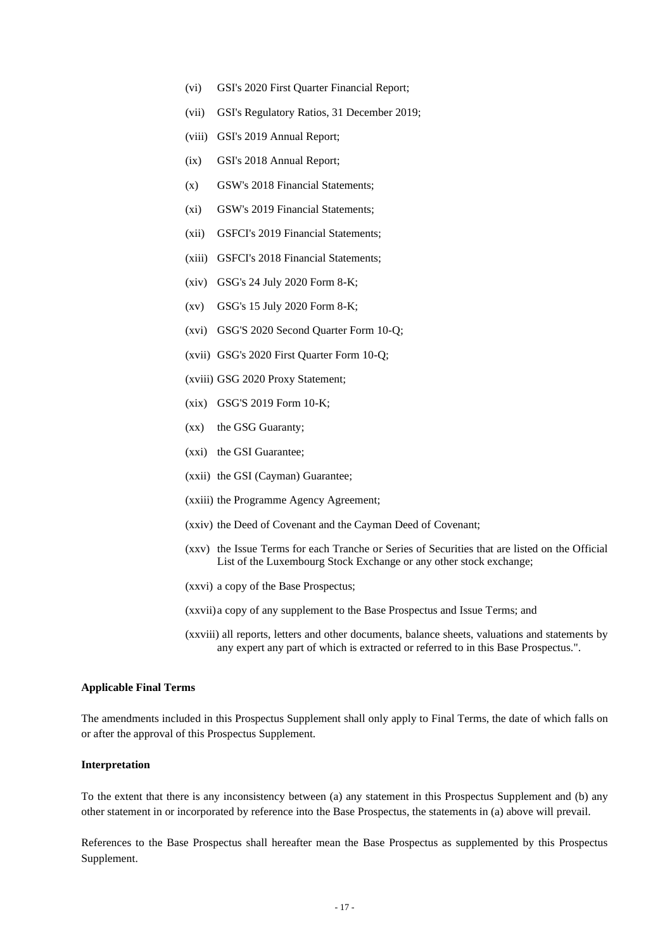- (vi) GSI's 2020 First Quarter Financial Report;
- (vii) GSI's Regulatory Ratios, 31 December 2019;
- (viii) GSI's 2019 Annual Report;
- (ix) GSI's 2018 Annual Report;
- (x) GSW's 2018 Financial Statements;
- (xi) GSW's 2019 Financial Statements;
- (xii) GSFCI's 2019 Financial Statements;
- (xiii) GSFCI's 2018 Financial Statements;
- (xiv) GSG's 24 July 2020 Form 8-K;
- (xv) GSG's 15 July 2020 Form 8-K;
- (xvi) GSG'S 2020 Second Quarter Form 10-Q;
- (xvii) GSG's 2020 First Quarter Form 10-Q;
- (xviii) GSG 2020 Proxy Statement;
- (xix) GSG'S 2019 Form 10-K;
- (xx) the GSG Guaranty;
- (xxi) the GSI Guarantee;
- (xxii) the GSI (Cayman) Guarantee;
- (xxiii) the Programme Agency Agreement;
- (xxiv) the Deed of Covenant and the Cayman Deed of Covenant;
- (xxv) the Issue Terms for each Tranche or Series of Securities that are listed on the Official List of the Luxembourg Stock Exchange or any other stock exchange;
- (xxvi) a copy of the Base Prospectus;
- (xxvii)a copy of any supplement to the Base Prospectus and Issue Terms; and
- (xxviii) all reports, letters and other documents, balance sheets, valuations and statements by any expert any part of which is extracted or referred to in this Base Prospectus.".

## **Applicable Final Terms**

The amendments included in this Prospectus Supplement shall only apply to Final Terms, the date of which falls on or after the approval of this Prospectus Supplement.

#### **Interpretation**

To the extent that there is any inconsistency between (a) any statement in this Prospectus Supplement and (b) any other statement in or incorporated by reference into the Base Prospectus, the statements in (a) above will prevail.

References to the Base Prospectus shall hereafter mean the Base Prospectus as supplemented by this Prospectus Supplement.